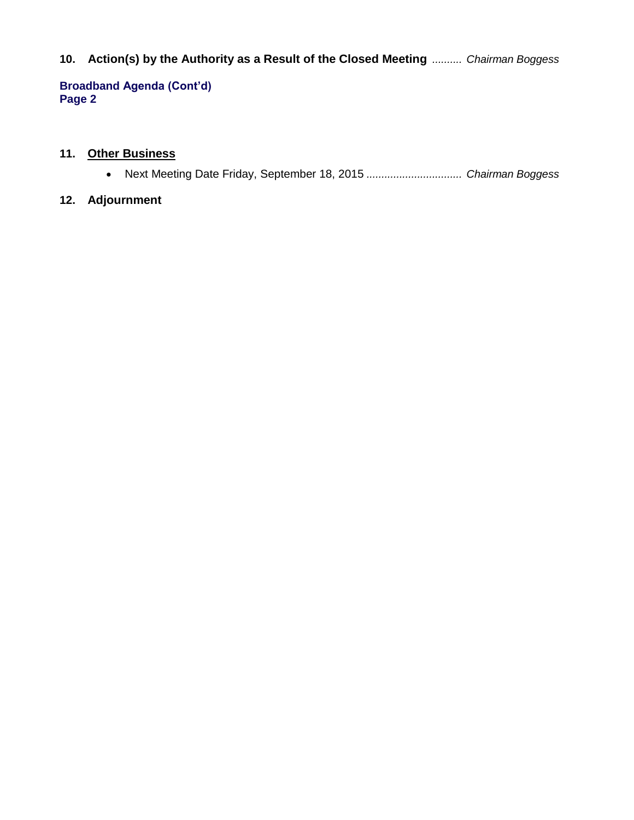## **10. Action(s) by the Authority as a Result of the Closed Meeting** *.......... Chairman Boggess*

## **Broadband Agenda (Cont'd) Page 2**

## **11. Other Business**

Next Meeting Date Friday, September 18, 2015 *................................ Chairman Boggess*

## **12. Adjournment**